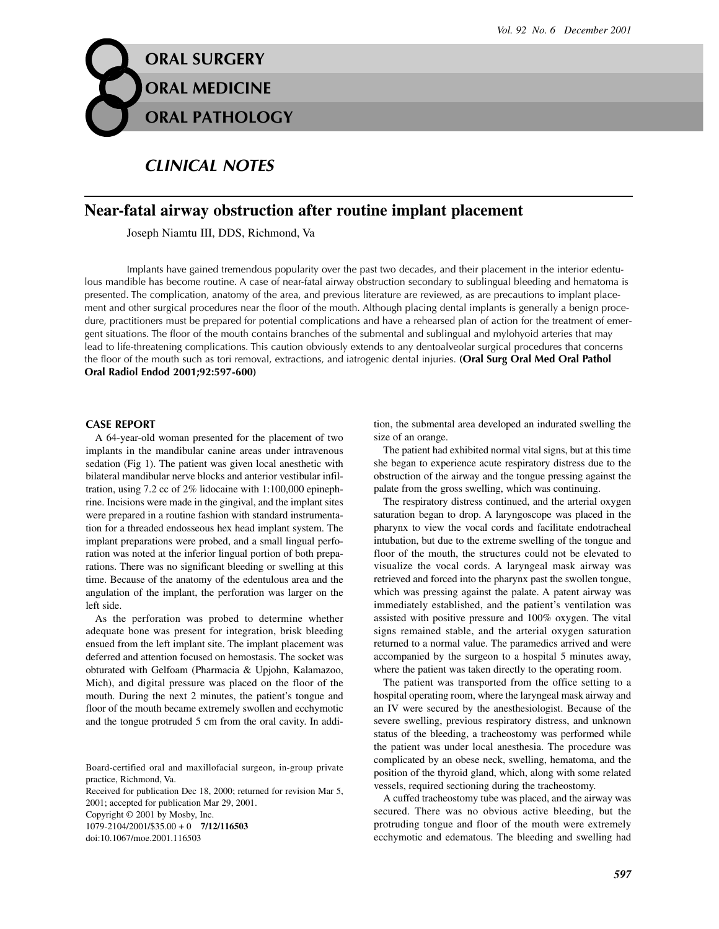# **ORAL SURGERY ORAL MEDICINE ORAL PATHOLOGY**

# *CLINICAL NOTES*

# **Near-fatal airway obstruction after routine implant placement**

## Joseph Niamtu III, DDS, Richmond, Va

Implants have gained tremendous popularity over the past two decades, and their placement in the interior edentulous mandible has become routine. A case of near-fatal airway obstruction secondary to sublingual bleeding and hematoma is presented. The complication, anatomy of the area, and previous literature are reviewed, as are precautions to implant placement and other surgical procedures near the floor of the mouth. Although placing dental implants is generally a benign procedure, practitioners must be prepared for potential complications and have a rehearsed plan of action for the treatment of emergent situations. The floor of the mouth contains branches of the submental and sublingual and mylohyoid arteries that may lead to life-threatening complications. This caution obviously extends to any dentoalveolar surgical procedures that concerns the floor of the mouth such as tori removal, extractions, and iatrogenic dental injuries. **(Oral Surg Oral Med Oral Pathol Oral Radiol Endod 2001;92:597-600)**

### **CASE REPORT**

A 64-year-old woman presented for the placement of two implants in the mandibular canine areas under intravenous sedation (Fig 1). The patient was given local anesthetic with bilateral mandibular nerve blocks and anterior vestibular infiltration, using 7.2 cc of 2% lidocaine with 1:100,000 epinephrine. Incisions were made in the gingival, and the implant sites were prepared in a routine fashion with standard instrumentation for a threaded endosseous hex head implant system. The implant preparations were probed, and a small lingual perforation was noted at the inferior lingual portion of both preparations. There was no significant bleeding or swelling at this time. Because of the anatomy of the edentulous area and the angulation of the implant, the perforation was larger on the left side.

As the perforation was probed to determine whether adequate bone was present for integration, brisk bleeding ensued from the left implant site. The implant placement was deferred and attention focused on hemostasis. The socket was obturated with Gelfoam (Pharmacia & Upjohn, Kalamazoo, Mich), and digital pressure was placed on the floor of the mouth. During the next 2 minutes, the patient's tongue and floor of the mouth became extremely swollen and ecchymotic and the tongue protruded 5 cm from the oral cavity. In addi-

Received for publication Dec 18, 2000; returned for revision Mar 5, 2001; accepted for publication Mar 29, 2001. Copyright © 2001 by Mosby, Inc. 1079-2104/2001/\$35.00 + 0 **7/12/116503** doi:10.1067/moe.2001.116503

tion, the submental area developed an indurated swelling the size of an orange.

The patient had exhibited normal vital signs, but at this time she began to experience acute respiratory distress due to the obstruction of the airway and the tongue pressing against the palate from the gross swelling, which was continuing.

The respiratory distress continued, and the arterial oxygen saturation began to drop. A laryngoscope was placed in the pharynx to view the vocal cords and facilitate endotracheal intubation, but due to the extreme swelling of the tongue and floor of the mouth, the structures could not be elevated to visualize the vocal cords. A laryngeal mask airway was retrieved and forced into the pharynx past the swollen tongue, which was pressing against the palate. A patent airway was immediately established, and the patient's ventilation was assisted with positive pressure and 100% oxygen. The vital signs remained stable, and the arterial oxygen saturation returned to a normal value. The paramedics arrived and were accompanied by the surgeon to a hospital 5 minutes away, where the patient was taken directly to the operating room.

The patient was transported from the office setting to a hospital operating room, where the laryngeal mask airway and an IV were secured by the anesthesiologist. Because of the severe swelling, previous respiratory distress, and unknown status of the bleeding, a tracheostomy was performed while the patient was under local anesthesia. The procedure was complicated by an obese neck, swelling, hematoma, and the position of the thyroid gland, which, along with some related vessels, required sectioning during the tracheostomy.

A cuffed tracheostomy tube was placed, and the airway was secured. There was no obvious active bleeding, but the protruding tongue and floor of the mouth were extremely ecchymotic and edematous. The bleeding and swelling had

Board-certified oral and maxillofacial surgeon, in-group private practice, Richmond, Va.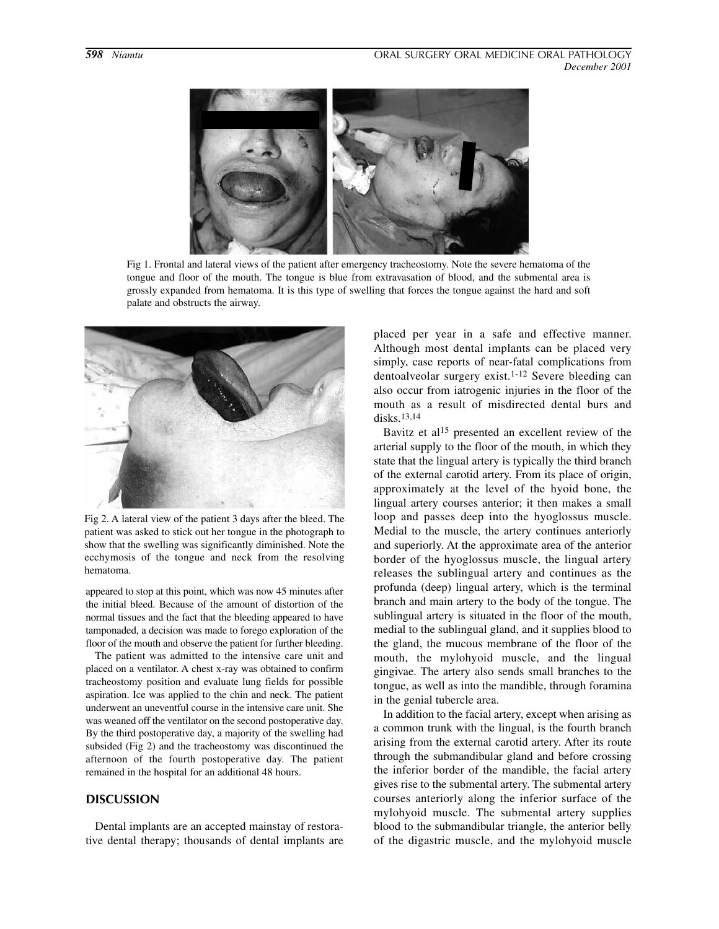

Fig 1. Frontal and lateral views of the patient after emergency tracheostomy. Note the severe hematoma of the tongue and floor of the mouth. The tongue is blue from extravasation of blood, and the submental area is grossly expanded from hematoma. It is this type of swelling that forces the tongue against the hard and soft palate and obstructs the airway.



Fig 2. A lateral view of the patient 3 days after the bleed. The patient was asked to stick out her tongue in the photograph to show that the swelling was significantly diminished. Note the ecchymosis of the tongue and neck from the resolving hematoma.

appeared to stop at this point, which was now 45 minutes after the initial bleed. Because of the amount of distortion of the normal tissues and the fact that the bleeding appeared to have tamponaded, a decision was made to forego exploration of the floor of the mouth and observe the patient for further bleeding.

The patient was admitted to the intensive care unit and placed on a ventilator. A chest x-ray was obtained to confirm tracheostomy position and evaluate lung fields for possible aspiration. Ice was applied to the chin and neck. The patient underwent an uneventful course in the intensive care unit. She was weaned off the ventilator on the second postoperative day. By the third postoperative day, a majority of the swelling had subsided (Fig 2) and the tracheostomy was discontinued the afternoon of the fourth postoperative day. The patient remained in the hospital for an additional 48 hours.

## **DISCUSSION**

Dental implants are an accepted mainstay of restorative dental therapy; thousands of dental implants are placed per year in a safe and effective manner. Although most dental implants can be placed very simply, case reports of near-fatal complications from dentoalveolar surgery exist.1-12 Severe bleeding can also occur from iatrogenic injuries in the floor of the mouth as a result of misdirected dental burs and disks.13,14

Bavitz et al<sup>15</sup> presented an excellent review of the arterial supply to the floor of the mouth, in which they state that the lingual artery is typically the third branch of the external carotid artery. From its place of origin, approximately at the level of the hyoid bone, the lingual artery courses anterior; it then makes a small loop and passes deep into the hyoglossus muscle. Medial to the muscle, the artery continues anteriorly and superiorly. At the approximate area of the anterior border of the hyoglossus muscle, the lingual artery releases the sublingual artery and continues as the profunda (deep) lingual artery, which is the terminal branch and main artery to the body of the tongue. The sublingual artery is situated in the floor of the mouth, medial to the sublingual gland, and it supplies blood to the gland, the mucous membrane of the floor of the mouth, the mylohyoid muscle, and the lingual gingivae. The artery also sends small branches to the tongue, as well as into the mandible, through foramina in the genial tubercle area.

In addition to the facial artery, except when arising as a common trunk with the lingual, is the fourth branch arising from the external carotid artery. After its route through the submandibular gland and before crossing the inferior border of the mandible, the facial artery gives rise to the submental artery. The submental artery courses anteriorly along the inferior surface of the mylohyoid muscle. The submental artery supplies blood to the submandibular triangle, the anterior belly of the digastric muscle, and the mylohyoid muscle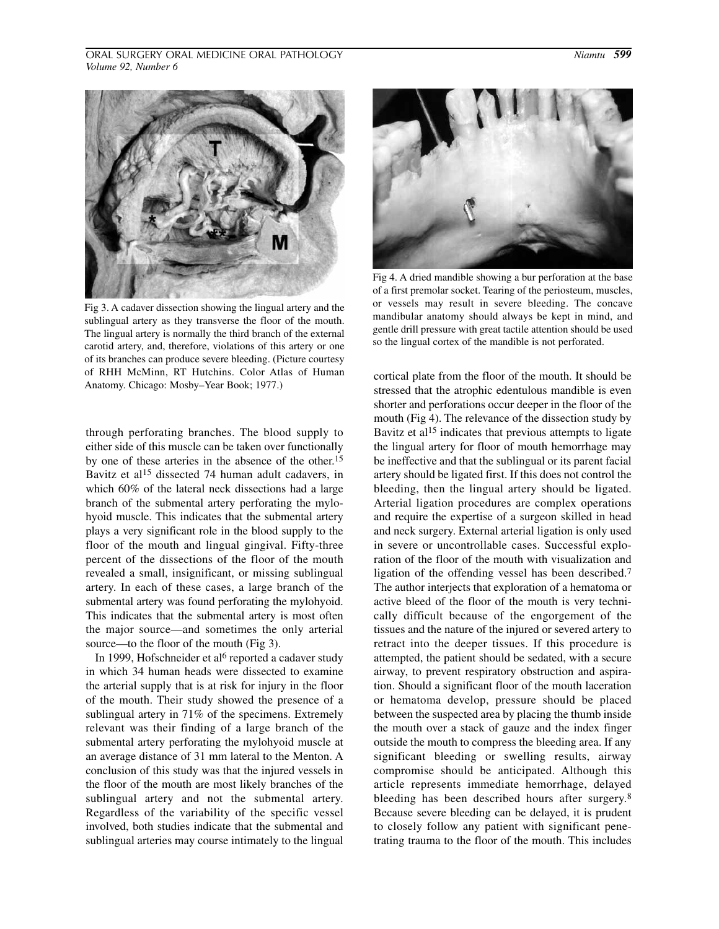#### ORAL SURGERY ORAL MEDICINE ORAL PATHOLOGY *Niamtu 599 Volume 92, Number 6*



Fig 3. A cadaver dissection showing the lingual artery and the sublingual artery as they transverse the floor of the mouth. The lingual artery is normally the third branch of the external carotid artery, and, therefore, violations of this artery or one of its branches can produce severe bleeding. (Picture courtesy of RHH McMinn, RT Hutchins. Color Atlas of Human Anatomy. Chicago: Mosby–Year Book; 1977.)

through perforating branches. The blood supply to either side of this muscle can be taken over functionally by one of these arteries in the absence of the other.15 Bavitz et al<sup>15</sup> dissected 74 human adult cadavers, in which 60% of the lateral neck dissections had a large branch of the submental artery perforating the mylohyoid muscle. This indicates that the submental artery plays a very significant role in the blood supply to the floor of the mouth and lingual gingival. Fifty-three percent of the dissections of the floor of the mouth revealed a small, insignificant, or missing sublingual artery. In each of these cases, a large branch of the submental artery was found perforating the mylohyoid. This indicates that the submental artery is most often the major source—and sometimes the only arterial source—to the floor of the mouth (Fig 3).

In 1999, Hofschneider et al<sup>6</sup> reported a cadaver study in which 34 human heads were dissected to examine the arterial supply that is at risk for injury in the floor of the mouth. Their study showed the presence of a sublingual artery in 71% of the specimens. Extremely relevant was their finding of a large branch of the submental artery perforating the mylohyoid muscle at an average distance of 31 mm lateral to the Menton. A conclusion of this study was that the injured vessels in the floor of the mouth are most likely branches of the sublingual artery and not the submental artery. Regardless of the variability of the specific vessel involved, both studies indicate that the submental and sublingual arteries may course intimately to the lingual



Fig 4. A dried mandible showing a bur perforation at the base of a first premolar socket. Tearing of the periosteum, muscles, or vessels may result in severe bleeding. The concave mandibular anatomy should always be kept in mind, and gentle drill pressure with great tactile attention should be used so the lingual cortex of the mandible is not perforated.

cortical plate from the floor of the mouth. It should be stressed that the atrophic edentulous mandible is even shorter and perforations occur deeper in the floor of the mouth (Fig 4). The relevance of the dissection study by Bavitz et al<sup>15</sup> indicates that previous attempts to ligate the lingual artery for floor of mouth hemorrhage may be ineffective and that the sublingual or its parent facial artery should be ligated first. If this does not control the bleeding, then the lingual artery should be ligated. Arterial ligation procedures are complex operations and require the expertise of a surgeon skilled in head and neck surgery. External arterial ligation is only used in severe or uncontrollable cases. Successful exploration of the floor of the mouth with visualization and ligation of the offending vessel has been described.7 The author interjects that exploration of a hematoma or active bleed of the floor of the mouth is very technically difficult because of the engorgement of the tissues and the nature of the injured or severed artery to retract into the deeper tissues. If this procedure is attempted, the patient should be sedated, with a secure airway, to prevent respiratory obstruction and aspiration. Should a significant floor of the mouth laceration or hematoma develop, pressure should be placed between the suspected area by placing the thumb inside the mouth over a stack of gauze and the index finger outside the mouth to compress the bleeding area. If any significant bleeding or swelling results, airway compromise should be anticipated. Although this article represents immediate hemorrhage, delayed bleeding has been described hours after surgery.8 Because severe bleeding can be delayed, it is prudent to closely follow any patient with significant penetrating trauma to the floor of the mouth. This includes